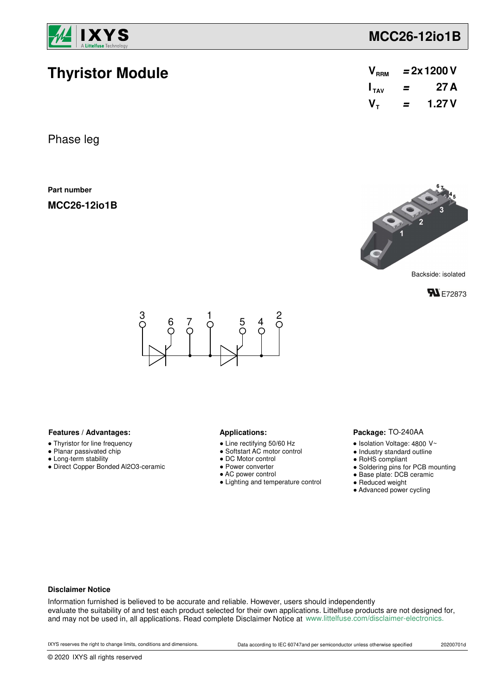

**Thyristor Module**

# **MCC26-12io1B**

| V <sub>RRM</sub>            | $= 2x 1200 V$ |       |  |
|-----------------------------|---------------|-------|--|
| $\mathbf{I}_{\mathsf{TAV}}$ | =             | 27 A  |  |
| $V_{\tau}$                  | =             | 1.27V |  |

Phase leg

**Part number**

**MCC26-12io1B**







### Features / Advantages: **All Applications: Applications:**

- Thyristor for line frequency
- Planar passivated chip
- Long-term stability
- Direct Copper Bonded Al2O3-ceramic

- Line rectifying 50/60 Hz
- Softstart AC motor control
- DC Motor control
- Power converter
- AC power control
- Lighting and temperature control

#### Package: TO-240AA

- $\bullet$  Isolation Voltage: 4800 V~
- Industry standard outline
- RoHS compliant
- Soldering pins for PCB mounting
- Base plate: DCB ceramic
- Reduced weight
- Advanced power cycling

#### **Disclaimer Notice**

Information furnished is believed to be accurate and reliable. However, users should independently evaluate the suitability of and test each product selected for their own applications. Littelfuse products are not designed for, and may not be used in, all applications. Read complete Disclaimer Notice at www.littelfuse.com/disclaimer-electronics.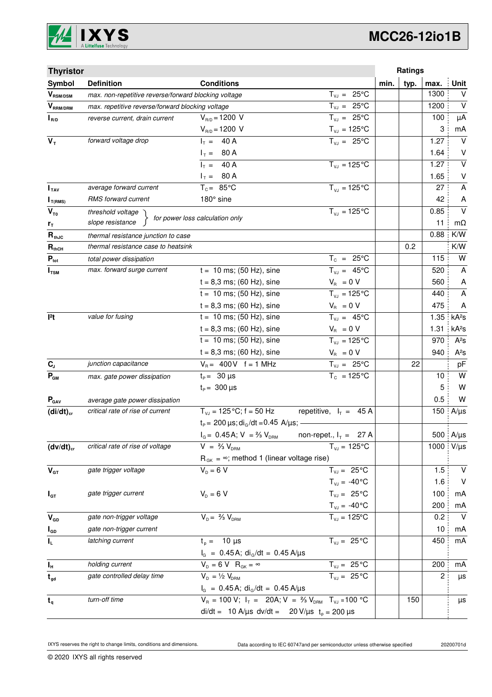

# **MCC26-12io1B**

| <b>Thyristor</b>          |                                                      |                                                                            |                                | Ratings      |      |                           |
|---------------------------|------------------------------------------------------|----------------------------------------------------------------------------|--------------------------------|--------------|------|---------------------------|
| Symbol                    | <b>Definition</b>                                    | <b>Conditions</b>                                                          |                                | typ.<br>min. | max. | <b>Unit</b>               |
| $\bm{V}_{\text{RSM/DSM}}$ | max. non-repetitive reverse/forward blocking voltage |                                                                            | $T_{VJ} = 25^{\circ}C$         |              | 1300 | $\vee$                    |
| $\bm{V}_{\text{RRM/DRM}}$ | max. repetitive reverse/forward blocking voltage     |                                                                            | $T_{VJ} = 25^{\circ}C$         |              | 1200 | $\vee$                    |
| $I_{R/D}$                 | reverse current, drain current                       | $V_{R/D} = 1200 V$                                                         | $T_{VJ} = 25^{\circ}C$         |              | 100  | μA                        |
|                           |                                                      | $V_{R/D} = 1200 V$                                                         | $T_{\nu J} = 125$ °C           |              | 3    | mA                        |
| $V_T$                     | forward voltage drop                                 | $I_T = 40 A$                                                               | $T_{VJ} = 25^{\circ}C$         |              | 1.27 | $\vee$                    |
|                           |                                                      | $I_T = 80 A$                                                               |                                |              | 1.64 | V                         |
|                           |                                                      | $I_T = 40 A$                                                               | $T_{VJ} = 125$ °C              |              | 1.27 | $\overline{\mathsf{v}}$   |
|                           |                                                      | $I_T = 80 A$                                                               |                                |              | 1.65 | $\sf V$                   |
| I <sub>TAV</sub>          | average forward current                              | $T_c = 85^{\circ}$ C                                                       | $T_{V1} = 125^{\circ}C$        |              | 27   | $\boldsymbol{\mathsf{A}}$ |
| $I_{T(RMS)}$              | RMS forward current                                  | 180° sine                                                                  |                                |              | 42   | A                         |
| $V_{\tau_0}$              | threshold voltage                                    | for power loss calculation only                                            | $T_{VJ} = 125$ °C              |              | 0.85 | $\vee$                    |
| $r_{\text{T}}$            | slope resistance                                     |                                                                            |                                |              | 11   | $m\Omega$                 |
| $R_{thJC}$                | thermal resistance junction to case                  |                                                                            |                                |              | 0.88 | K/W                       |
| $R_{thCH}$                | thermal resistance case to heatsink                  |                                                                            |                                | 0.2          |      | K/W                       |
| $P_{\text{tot}}$          | total power dissipation                              |                                                                            | $T_c = 25^{\circ}C$            |              | 115  | W                         |
| $I_{TSM}$                 | max. forward surge current                           | $t = 10$ ms; (50 Hz), sine                                                 | $T_{v,i} = 45^{\circ}C$        |              | 520  | A                         |
|                           |                                                      | $t = 8,3$ ms; (60 Hz), sine                                                | $V_{\rm R} = 0 V$              |              | 560  | A                         |
|                           |                                                      | $t = 10$ ms; (50 Hz), sine                                                 | $T_{VJ} = 125$ °C              |              | 440  | A                         |
|                           |                                                      | $t = 8,3$ ms; (60 Hz), sine                                                | $V_{B} = 0 V$                  |              | 475  | A                         |
| $ ^{2}t$                  | value for fusing                                     | $t = 10$ ms; (50 Hz), sine                                                 | $T_{VJ} = 45^{\circ}C$         |              | 1.35 | kA <sup>2</sup> s         |
|                           |                                                      | $t = 8,3$ ms; (60 Hz), sine                                                | $V_{\rm R} = 0 V$              |              | 1.31 | kA <sup>2</sup> S         |
|                           |                                                      | $t = 10$ ms; (50 Hz), sine                                                 | $T_{VJ} = 125^{\circ}C$        |              | 970  | $A^2S$                    |
|                           |                                                      | $t = 8,3$ ms; (60 Hz), sine                                                | $V_{\rm R} = 0 V$              |              | 940  | $A^2S$                    |
| $\mathbf{C}_\text{J}$     | junction capacitance                                 | $V_B = 400V$ f = 1 MHz                                                     | $T_{VJ} = 25^{\circ}C$         | 22           |      | pF                        |
| $P_{GM}$                  | max. gate power dissipation                          | $t_{p} = 30 \,\mu s$                                                       | $T_c = 125^{\circ}C$           |              | 10   | W                         |
|                           |                                                      | $t_{\rm p} = 300 \,\mu s$                                                  |                                |              | 5    | W                         |
| $P_{\text{GAV}}$          | average gate power dissipation                       |                                                                            |                                |              | 0.5  | W                         |
| $(di/dt)_{cr}$            | critical rate of rise of current                     | $T_{V,1} = 125 \degree C$ ; f = 50 Hz                                      | repetitive, $I_T = 45 A$       |              | 150  | $A/\mu s$                 |
|                           |                                                      | $t_P$ = 200 $\mu$ s; di <sub>G</sub> /dt = 0.45 A/ $\mu$ s; -              |                                |              |      |                           |
|                           |                                                      | $I_G = 0.45$ A; $V = \frac{2}{3} V_{DRM}$                                  | non-repet., $I_T = 27$ A       |              |      | 500 A/µs                  |
| $(dv/dt)_{cr}$            | critical rate of rise of voltage                     | $V = \frac{2}{3} V_{DBM}$                                                  | $T_{VJ} = 125$ °C              |              | 1000 | $V/\mu s$                 |
|                           |                                                      | $R_{GK} = \infty$ ; method 1 (linear voltage rise)                         |                                |              |      |                           |
| $V_{GT}$                  | gate trigger voltage                                 | $V_{D} = 6 V$                                                              | $T_{VJ} = 25^{\circ}C$         |              | 1.5  | $\vee$                    |
|                           |                                                      |                                                                            | $T_{\text{VJ}} = -40^{\circ}C$ |              | 1.6  | $\vee$                    |
| $I_{GT}$                  | gate trigger current                                 | $V_{D} = 6 V$                                                              | $T_{VJ} = 25^{\circ}C$         |              | 100  | mA                        |
|                           |                                                      |                                                                            | $T_{VJ} = -40^{\circ}C$        |              | 200  | mA                        |
| $V_{GD}$                  | gate non-trigger voltage                             | $V_{D} = \frac{2}{3} V_{DBM}$                                              | $T_{VJ} = 125$ °C              |              | 0.2  | $\vee$                    |
| $I_{GD}$                  | gate non-trigger current                             |                                                                            |                                |              | 10   | mA                        |
| IL.                       | latching current                                     | $t_p = 10 \mu s$                                                           | $T_{VJ} = 25^{\circ}C$         |              | 450  | mA                        |
|                           |                                                      | $I_G = 0.45 A$ ; di <sub>g</sub> /dt = 0.45 A/µs                           |                                |              |      |                           |
| $I_{\rm H}$               | holding current                                      | $V_{D} = 6 V R_{GK} = \infty$                                              | $T_{VJ} = 25 \overline{°C}$    |              | 200  | mA                        |
| $t_{gd}$                  | gate controlled delay time                           | $V_{D} = \frac{1}{2} V_{DRM}$                                              | $T_{VJ} = 25 °C$               |              | 2    | μs                        |
|                           |                                                      | $I_G = 0.45A$ ; di <sub>G</sub> /dt = 0.45 A/µs                            |                                |              |      |                           |
| $t_q$                     | turn-off time                                        | $V_R = 100 V; I_T = 20A; V = \frac{2}{3} V_{DRM}$ T <sub>VJ</sub> = 100 °C |                                | 150          |      | μs                        |
|                           |                                                      | di/dt = 10 A/µs dv/dt = 20 V/µs $t_0 = 200 \mu s$                          |                                |              |      |                           |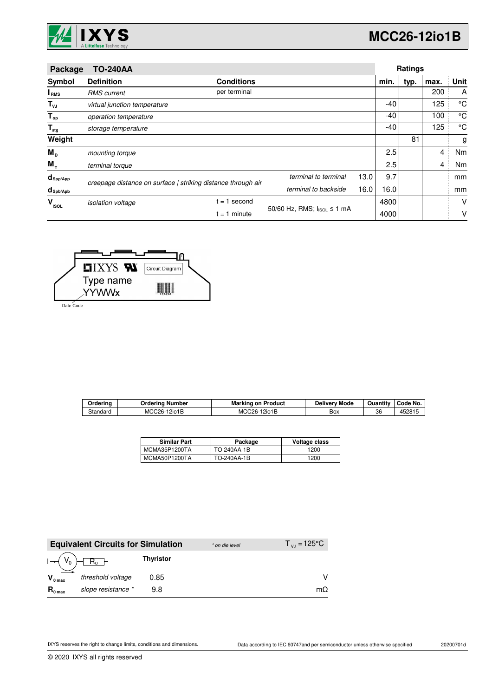

| Package                | <b>TO-240AA</b>                             |                                                              |                              |      |      | Ratings |                |             |
|------------------------|---------------------------------------------|--------------------------------------------------------------|------------------------------|------|------|---------|----------------|-------------|
| Symbol                 | <b>Definition</b>                           | <b>Conditions</b>                                            |                              |      | min. | typ.    | max.           | Unit        |
| I <sub>RMS</sub>       | <b>RMS</b> current                          | per terminal                                                 |                              |      |      |         | 200            | A           |
| $T_{\nu J}$            | virtual junction temperature                |                                                              |                              |      | -40  |         | 125            | °C          |
| $T_{op}$               | operation temperature                       |                                                              |                              |      | -40  |         | 100            | $^{\circ}C$ |
| $T_{\text{stg}}$       | storage temperature                         |                                                              |                              |      | -40  |         | 125            | °C          |
| Weight                 |                                             |                                                              |                              |      |      | 81      |                | g           |
| $M_{\rm p}$            | mounting torque                             |                                                              |                              |      | 2.5  |         | 4              | Nm          |
| $M_{+}$                | terminal torque                             |                                                              |                              |      | 2.5  |         | $\overline{4}$ | Nm          |
| $d_{\mathsf{Spp/App}}$ |                                             | creepage distance on surface   striking distance through air | terminal to terminal         | 13.0 | 9.7  |         |                | mm          |
| $d_{\text{sph/Apb}}$   |                                             |                                                              | terminal to backside<br>16.0 |      | 16.0 |         |                | mm          |
| $V_{\rm ISOL}$         | $= 1$<br>second<br><i>isolation</i> voltage |                                                              |                              |      | 4800 |         |                | V           |
|                        |                                             | 50/60 Hz, RMS; IsoL ≤ 1 mA<br>$= 1$ minute                   |                              |      | 4000 |         |                | ۷           |



Date Code

| Orderina | Jrderina<br>Number      | Marking on<br>Product | Deliverv Mode | Quantity | Code No. |
|----------|-------------------------|-----------------------|---------------|----------|----------|
| Standard | <b>MCC26-</b><br>12io1B | MCC26-1<br>12io1B     | Box           | 36       | 452815   |

| <b>Similar Part</b> | Package     | Voltage class |
|---------------------|-------------|---------------|
| MCMA35P1200TA       | TO-240AA-1B | 1200          |
| MCMA50P1200TA       | TO-240AA-1B | 1200          |

|                     | <b>Equivalent Circuits for Simulation</b> |                  | * on die level | $T_{\rm{VJ}} = 125^{\circ}C$ |
|---------------------|-------------------------------------------|------------------|----------------|------------------------------|
|                     | $R_0$ –                                   | <b>Thyristor</b> |                |                              |
| $V_{0 \text{ max}}$ | threshold voltage                         | 0.85             |                |                              |
| $R_{0 \text{ max}}$ | slope resistance *                        | 9.8              |                | mΩ                           |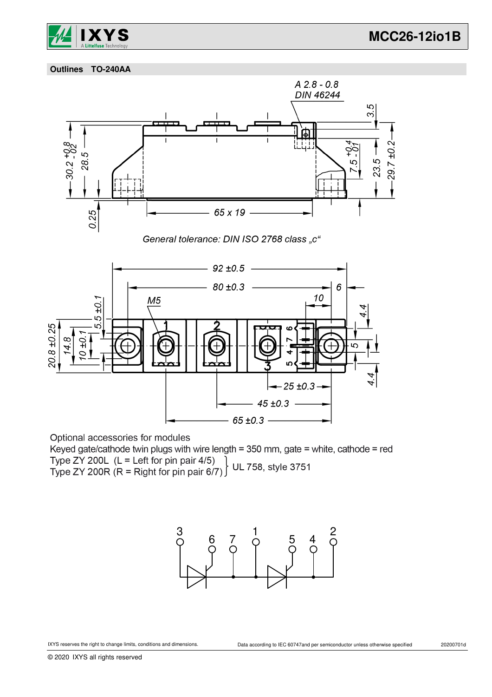

 **Outlines TO-240AA**



Optional accessories for modules

Keyed gate/cathode twin plugs with wire length = 350 mm, gate = white, cathode = red Type ZY 200L (L = Left for pin pair 4/5)<br>Type ZY 200R (R = Right for pin pair 6/7) UL 758, style 3751

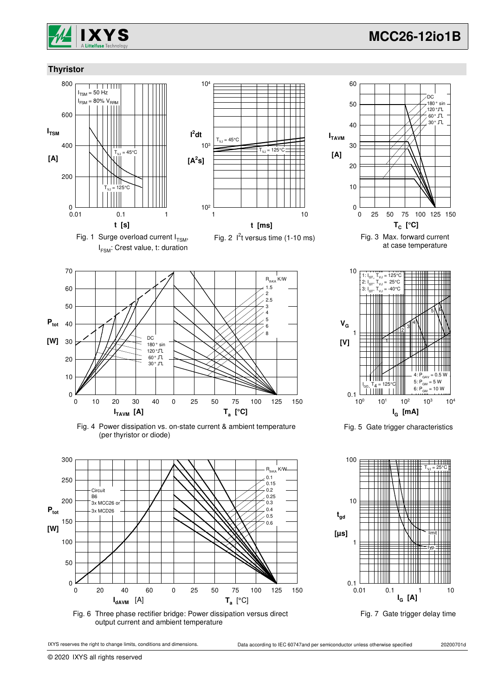

180 ° sin ייט ספו<br>⊥120 °⊥

DC

### **Thyristor**



I FSM: Crest value, t: duration







Fig. 4 Power dissipation vs. on-state current & ambient temperature (per thyristor or diode)



Fig. 6 Three phase rectifier bridge: Power dissipation versus direct output current and ambient temperature



© 2020 IXYS all rights reserved



50

60



Fig. 5 Gate trigger characteristics